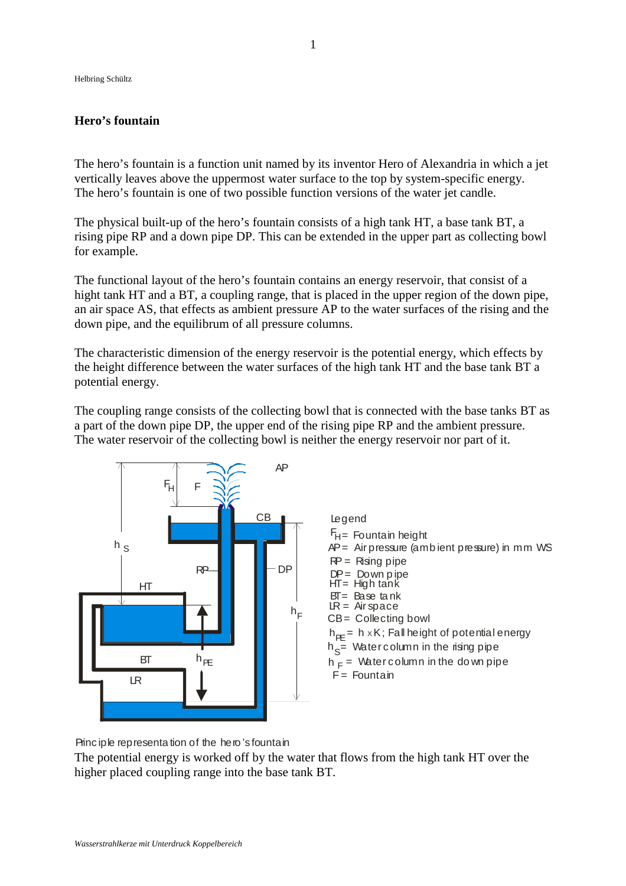Helbring Schültz

## **Hero's fountain**

The hero's fountain is a function unit named by its inventor Hero of Alexandria in which a jet vertically leaves above the uppermost water surface to the top by system-specific energy. The hero's fountain is one of two possible function versions of the water jet candle.

The physical built-up of the hero's fountain consists of a high tank HT, a base tank BT, a rising pipe RP and a down pipe DP. This can be extended in the upper part as collecting bowl for example.

The functional layout of the hero's fountain contains an energy reservoir, that consist of a hight tank HT and a BT, a coupling range, that is placed in the upper region of the down pipe, an air space AS, that effects as ambient pressure AP to the water surfaces of the rising and the down pipe, and the equilibrum of all pressure columns.

The characteristic dimension of the energy reservoir is the potential energy, which effects by the height difference between the water surfaces of the high tank HT and the base tank BT a potential energy.

The coupling range consists of the collecting bowl that is connected with the base tanks BT as a part of the down pipe DP, the upper end of the rising pipe RP and the ambient pressure. The water reservoir of the collecting bowl is neither the energy reservoir nor part of it.



Principle representation of the hero's fountain

The potential energy is worked off by the water that flows from the high tank HT over the higher placed coupling range into the base tank BT.